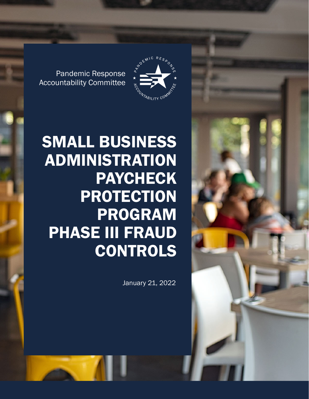



Pandemic Response Accountability Committee

# SMALL BUSINESS ADMINISTRATION PAYCHECK PROTECTION PROGRAM PHASE III FRAUD CONTROLS

January 21, 2022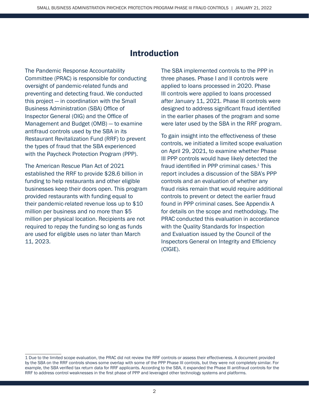# Introduction

The Pandemic Response Accountability Committee (PRAC) is responsible for conducting oversight of pandemic-related funds and preventing and detecting fraud. We conducted this project — in coordination with the Small Business Administration (SBA) Office of Inspector General (OIG) and the Office of Management and Budget (OMB) — to examine antifraud controls used by the SBA in its Restaurant Revitalization Fund (RRF) to prevent the types of fraud that the SBA experienced with the Paycheck Protection Program (PPP).

The American Rescue Plan Act of 2021 established the RRF to provide \$28.6 billion in funding to help restaurants and other eligible businesses keep their doors open. This program provided restaurants with funding equal to their pandemic-related revenue loss up to \$10 million per business and no more than \$5 million per physical location. Recipients are not required to repay the funding so long as funds are used for eligible uses no later than March 11, 2023.

The SBA implemented controls to the PPP in three phases. Phase I and II controls were applied to loans processed in 2020. Phase III controls were applied to loans processed after January 11, 2021. Phase III controls were designed to address significant fraud identified in the earlier phases of the program and some were later used by the SBA in the RRF program.

To gain insight into the effectiveness of these controls, we initiated a limited scope evaluation on April 29, 2021, to examine whether Phase III PPP controls would have likely detected the fraud identified in PPP criminal cases.<sup>1</sup> This report includes a discussion of the SBA's PPP controls and an evaluation of whether any fraud risks remain that would require additional controls to prevent or detect the earlier fraud found in PPP criminal cases. See Appendix A for details on the scope and methodology. The PRAC conducted this evaluation in accordance with the Quality Standards for Inspection and Evaluation issued by the Council of the Inspectors General on Integrity and Efficiency (CIGIE).

<sup>1</sup> Due to the limited scope evaluation, the PRAC did not review the RRF controls or assess their effectiveness. A document provided by the SBA on the RRF controls shows some overlap with some of the PPP Phase III controls, but they were not completely similar. For example, the SBA verified tax return data for RRF applicants. According to the SBA, it expanded the Phase III antifraud controls for the RRF to address control weaknesses in the first phase of PPP and leveraged other technology systems and platforms.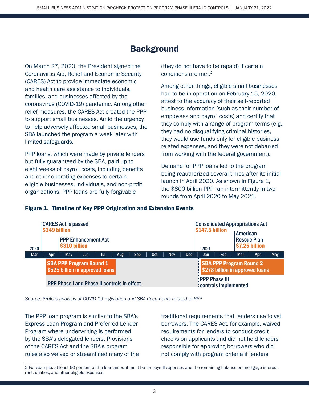# **Background**

On March 27, 2020, the President signed the Coronavirus Aid, Relief and Economic Security (CARES) Act to provide immediate economic and health care assistance to individuals, families, and businesses affected by the coronavirus (COVID-19) pandemic. Among other relief measures, the CARES Act created the PPP to support small businesses. Amid the urgency to help adversely affected small businesses, the SBA launched the program a week later with limited safeguards.

PPP loans, which were made by private lenders but fully guaranteed by the SBA, paid up to eight weeks of payroll costs, including benefits and other operating expenses to certain eligible businesses, individuals, and non-profit organizations. PPP loans are fully forgivable

(they do not have to be repaid) if certain conditions are met.<sup>2</sup>

Among other things, eligible small businesses had to be in operation on February 15, 2020, attest to the accuracy of their self-reported business information (such as their number of employees and payroll costs) and certify that they comply with a range of program terms (e.g., they had no disqualifying criminal histories, they would use funds only for eligible businessrelated expenses, and they were not debarred from working with the federal government).

Demand for PPP loans led to the program being reauthorized several times after its initial launch in April 2020. As shown in Figure 1, the \$800 billion PPP ran intermittently in two rounds from April 2020 to May 2021.

|            | <b>CARES Act is passed</b><br>\$349 billion        |               |     |                                                                   |     |     | \$147.5 billion | <b>Consolidated Appropriations Act</b>         |     |                                                                   |                                                  |  |  |  |
|------------|----------------------------------------------------|---------------|-----|-------------------------------------------------------------------|-----|-----|-----------------|------------------------------------------------|-----|-------------------------------------------------------------------|--------------------------------------------------|--|--|--|
| 2020       |                                                    | \$310 billion |     | <b>PPP Enhancement Act</b>                                        |     |     |                 |                                                |     | 2021                                                              | American<br><b>Rescue Plan</b><br>\$7.25 billion |  |  |  |
| <b>Mar</b> | Apr.                                               | May           | Jun | Jul                                                               | Aug | Sep | Oct             | <b>Nov</b>                                     | Dec | Feb<br>Jan                                                        | May<br>Mar<br>Apr                                |  |  |  |
|            |                                                    |               |     | <b>SBA PPP Program Round 1</b><br>\$525 billion in approved loans |     |     |                 |                                                |     | <b>SBA PPP Program Round 2</b><br>\$278 billion in approved loans |                                                  |  |  |  |
|            | <b>PPP Phase I and Phase II controls in effect</b> |               |     |                                                                   |     |     |                 | <b>PPP Phase III</b><br>: controls implemented |     |                                                                   |                                                  |  |  |  |

#### Figure 1. Timeline of Key PPP Origination and Extension Events

*Source: PRAC's analysis of COVID-19 legislation and SBA documents related to PPP*

The PPP loan program is similar to the SBA's Express Loan Program and Preferred Lender Program where underwriting is performed by the SBA's delegated lenders. Provisions of the CARES Act and the SBA's program rules also waived or streamlined many of the traditional requirements that lenders use to vet borrowers. The CARES Act, for example, waived requirements for lenders to conduct credit checks on applicants and did not hold lenders responsible for approving borrowers who did not comply with program criteria if lenders

<sup>2</sup> For example, at least 60 percent of the loan amount must be for payroll expenses and the remaining balance on mortgage interest, rent, utilities, and other eligible expenses.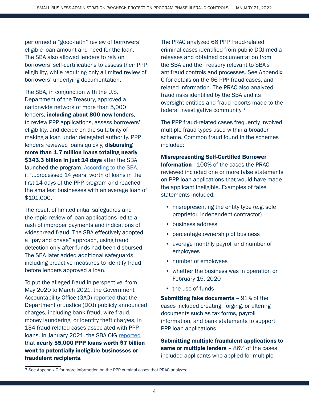performed a "good-faith" review of borrowers' eligible loan amount and need for the loan. The SBA also allowed lenders to rely on borrowers' self-certifications to assess their PPP eligibility, while requiring only a limited review of borrowers' underlying documentation.

The SBA, in conjunction with the U.S. Department of the Treasury, approved a nationwide network of more than 5,000 lenders, including about 800 new lenders, to review PPP applications, assess borrowers' eligibility, and decide on the suitability of making a loan under delegated authority. PPP lenders reviewed loans quickly, disbursing more than 1.7 million loans totaling nearly \$343.3 billion in just 14 days after the SBA launched the program. [According to the SBA](https://www.sba.gov/sites/default/files/2021-01/FY20_SBA_AFR-508%20%281.11.21%29.pdf), it "…processed 14 years' worth of loans in the first 14 days of the PPP program and reached the smallest businesses with an average loan of \$101,000."

The result of limited initial safeguards and the rapid review of loan applications led to a rash of improper payments and indications of widespread fraud. The SBA effectively adopted a "pay and chase" approach, using fraud detection only after funds had been disbursed. The SBA later added additional safeguards, including proactive measures to identify fraud before lenders approved a loan.

To put the alleged fraud in perspective, from May 2020 to March 2021, the Government Accountability Office (GAO) [reported](https://www.gao.gov/assets/gao-21-577.pdf) that the Department of Justice (DOJ) publicly announced charges, including bank fraud, wire fraud, money laundering, or identity theft charges, in 134 fraud-related cases associated with PPP loans. In January 2021, the SBA OIG [reported](https://www.sba.gov/sites/default/files/2021-01/SBA%20OIG%20Report-21-07.pdf) that nearly 55,000 PPP loans worth \$7 billion went to potentially ineligible businesses or fraudulent recipients.

The PRAC analyzed 66 PPP fraud-related criminal cases identified from public DOJ media releases and obtained documentation from the SBA and the Treasury relevant to SBA's antifraud controls and processes. See Appendix C for details on the 66 PPP fraud cases, and related information. The PRAC also analyzed fraud risks identified by the SBA and its oversight entities and fraud reports made to the federal investigative community.3

The PPP fraud-related cases frequently involved multiple fraud types used within a broader scheme. Common fraud found in the schemes included:

#### Misrepresenting Self-Certified Borrower

Information –100% of the cases the PRAC reviewed included one or more false statements on PPP loan applications that would have made the applicant ineligible. Examples of false statements included:

- misrepresenting the entity type (e.g. sole proprietor, independent contractor)
- business address
- percentage ownership of business
- average monthly payroll and number of employees
- number of employees
- whether the business was in operation on February 15, 2020
- the use of funds

**Submitting fake documents** - 91% of the cases included creating, forging, or altering documents such as tax forms, payroll information, and bank statements to support PPP loan applications.

Submitting multiple fraudulent applications to same or multiple lenders - 86% of the cases included applicants who applied for multiple

<sup>3</sup> See Appendix C for more information on the PPP criminal cases that PRAC analyzed.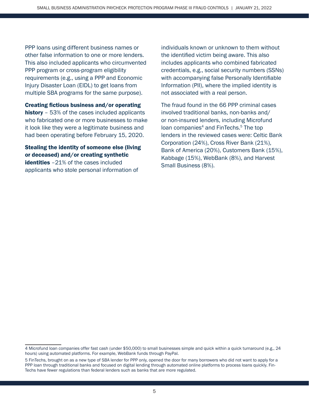PPP loans using different business names or other false information to one or more lenders. This also included applicants who circumvented PPP program or cross-program eligibility requirements (e.g., using a PPP and Economic Injury Disaster Loan (EIDL) to get loans from multiple SBA programs for the same purpose).

Creating fictious business and/or operating history - 53% of the cases included applicants who fabricated one or more businesses to make it look like they were a legitimate business and had been operating before February 15, 2020.

Stealing the identity of someone else (living or deceased) and/or creating synthetic **identities**  $-21\%$  of the cases included applicants who stole personal information of

individuals known or unknown to them without the identified victim being aware. This also includes applicants who combined fabricated credentials, e.g., social security numbers (SSNs) with accompanying false Personally Identifiable Information (PII), where the implied identity is not associated with a real person.

The fraud found in the 66 PPP criminal cases involved traditional banks, non-banks and/ or non-insured lenders, including Microfund loan companies<sup>4</sup> and FinTechs.<sup>5</sup> The top lenders in the reviewed cases were: Celtic Bank Corporation (24%), Cross River Bank (21%), Bank of America (20%), Customers Bank (15%), Kabbage (15%), WebBank (8%), and Harvest Small Business (8%).

<sup>4</sup> Microfund loan companies offer fast cash (under \$50,000) to small businesses simple and quick within a quick turnaround (e.g., 24 hours) using automated platforms. For example, WebBank funds through PayPal.

<sup>5</sup> FinTechs, brought on as a new type of SBA lender for PPP only, opened the door for many borrowers who did not want to apply for a PPP loan through traditional banks and focused on digital lending through automated online platforms to process loans quickly. Fin-Techs have fewer regulations than federal lenders such as banks that are more regulated.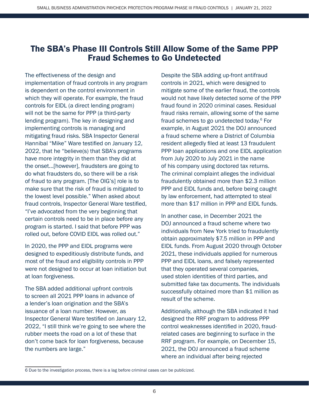# The SBA's Phase III Controls Still Allow Some of the Same PPP Fraud Schemes to Go Undetected

The effectiveness of the design and implementation of fraud controls in any program is dependent on the control environment in which they will operate. For example, the fraud controls for EIDL (a direct lending program) will not be the same for PPP (a third-party lending program). The key in designing and implementing controls is managing and mitigating fraud risks. SBA Inspector General Hannibal "Mike" Ware testified on January 12, 2022, that he "believe(s) that SBA's programs have more integrity in them than they did at the onset...[however], fraudsters are going to do what fraudsters do, so there will be a risk of fraud to any program. [The OIG's] role is to make sure that the risk of fraud is mitigated to the lowest level possible." When asked about fraud controls, Inspector General Ware testified, "I've advocated from the very beginning that certain controls need to be in place before any program is started. I said that before PPP was rolled out, before COVID EIDL was rolled out."

In 2020, the PPP and EIDL programs were designed to expeditiously distribute funds, and most of the fraud and eligibility controls in PPP were not designed to occur at loan initiation but at loan forgiveness.

The SBA added additional upfront controls to screen all 2021 PPP loans in advance of a lender's loan origination and the SBA's issuance of a loan number. However, as Inspector General Ware testified on January 12, 2022, "I still think we're going to see where the rubber meets the road on a lot of these that don't come back for loan forgiveness, because the numbers are large."

Despite the SBA adding up-front antifraud controls in 2021, which were designed to mitigate some of the earlier fraud, the controls would not have likely detected some of the PPP fraud found in 2020 criminal cases. Residual fraud risks remain, allowing some of the same fraud schemes to go undetected today.<sup>6</sup> For example, in August 2021 the DOJ announced a fraud scheme where a District of Columbia resident allegedly filed at least 13 fraudulent PPP loan applications and one EIDL application from July 2020 to July 2021 in the name of his company using doctored tax returns. The criminal complaint alleges the individual fraudulently obtained more than \$2.3 million PPP and EIDL funds and, before being caught by law enforcement, had attempted to steal more than \$17 million in PPP and EIDL funds.

In another case, in December 2021 the DOJ announced a fraud scheme where two individuals from New York tried to fraudulently obtain approximately \$7.5 million in PPP and EIDL funds. From August 2020 through October 2021, these individuals applied for numerous PPP and EIDL loans, and falsely represented that they operated several companies, used stolen identities of third parties, and submitted fake tax documents. The individuals successfully obtained more than \$1 million as result of the scheme.

Additionally, although the SBA indicated it had designed the RRF program to address PPP control weaknesses identified in 2020, fraudrelated cases are beginning to surface in the RRF program. For example, on December 15, 2021, the DOJ announced a fraud scheme where an individual after being rejected

<sup>6</sup> Due to the investigation process, there is a lag before criminal cases can be publicized.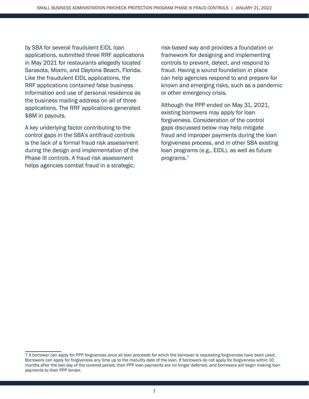by SBA for several fraudulent EIDL loan applications, submitted three RRF applications in May 2021 for restaurants allegedly located Sarasota, Miami, and Daytona Beach, Florida. Like the fraudulent EIDL applications, the RRF applications contained false business information and use of personal residence as the business mailing address on all of three applications. The RRF applications generated \$8M in payouts.

A key underlying factor contributing to the control gaps in the SBA's antifraud controls is the lack of a formal fraud risk assessment during the design and implementation of the Phase III controls. A fraud risk assessment helps agencies combat fraud in a strategic,

risk-based way and provides a foundation or framework for designing and implementing controls to prevent, detect, and respond to fraud. Having a sound foundation in place can help agencies respond to and prepare for known and emerging risks, such as a pandemic or other emergency crisis.

Although the PPP ended on May 31, 2021, existing borrowers may apply for loan forgiveness. Consideration of the control gaps discussed below may help mitigate fraud and improper payments during the loan forgiveness process, and in other SBA existing loan programs (e.g., EIDL), as well as future programs.7

<sup>7</sup> A borrower can apply for PPP forgiveness once all loan proceeds for which the borrower is requesting forgiveness have been used. Borrowers can apply for forgiveness any time up to the maturity date of the loan. If borrowers do not apply for forgiveness within 10 months after the last day of the covered period, then PPP loan payments are no longer deferred, and borrowers will begin making loan payments to their PPP lender.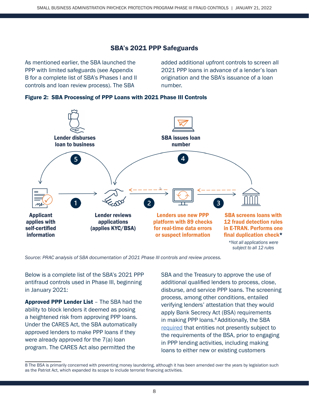# SBA's 2021 PPP Safeguards

As mentioned earlier, the SBA launched the PPP with limited safeguards (see Appendix B for a complete list of SBA's Phases I and II controls and loan review process). The SBA

added additional upfront controls to screen all 2021 PPP loans in advance of a lender's loan origination and the SBA's issuance of a loan number.



#### Figure 2: SBA Processing of PPP Loans with 2021 Phase III Controls

*Source: PRAC analysis of SBA documentation of 2021 Phase III controls and review process.*

Below is a complete list of the SBA's 2021 PPP antifraud controls used in Phase III, beginning in January 2021:

Approved PPP Lender List - The SBA had the ability to block lenders it deemed as posing a heightened risk from approving PPP loans. Under the CARES Act, the SBA automatically approved lenders to make PPP loans if they were already approved for the 7(a) loan program. The CARES Act also permitted the

SBA and the Treasury to approve the use of additional qualified lenders to process, close, disburse, and service PPP loans. The screening process, among other conditions, entailed verifying lenders' attestation that they would apply Bank Secrecy Act (BSA) requirements in making PPP loans.<sup>8</sup> Additionally, the SBA [required](https://www.sba.gov/sites/default/files/2021-01/PPP%20--%20IFR%20--%20Paycheck%20Protection%20Program%20as%20Amended%20by%20Economic%20Aid%20Act%20%281.6.2021%29.pdf) that entities not presently subject to the requirements of the BSA, prior to engaging in PPP lending activities, including making loans to either new or existing customers

<sup>8</sup> The BSA is primarily concerned with preventing money laundering, although it has been amended over the years by legislation such as the Patriot Act, which expanded its scope to include terrorist financing activities.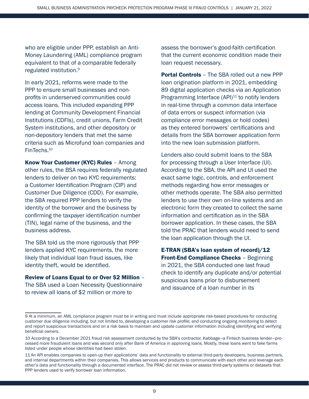who are eligible under PPP, establish an Anti-Money Laundering (AML) compliance program equivalent to that of a comparable federally regulated institution.<sup>9</sup>

In early 2021, reforms were made to the PPP to ensure small businesses and nonprofits in underserved communities could access loans. This included expanding PPP lending at Community Development Financial Institutions (CDFIs), credit unions, Farm Credit System institutions, and other depository or non-depository lenders that met the same criteria such as Microfund loan companies and FinTechs.10

Know Your Customer (KYC) Rules – Among other rules, the BSA requires federally regulated lenders to deliver on two KYC requirements: a Customer Identification Program (CIP) and Customer Due Diligence (CDD). For example, the SBA required PPP lenders to verify the identity of the borrower and the business by confirming the taxpayer identification number (TIN), legal name of the business, and the business address.

The SBA told us the more rigorously that PPP lenders applied KYC requirements, the more likely that individual loan fraud issues, like identity theft, would be identified.

Review of Loans Equal to or Over \$2 Million – The SBA used a Loan Necessity Questionnaire to review all loans of \$2 million or more to

assess the borrower's good-faith certification that the current economic condition made their loan request necessary.

**Portal Controls** – The SBA rolled out a new PPP loan origination platform in 2021, embedding 89 digital application checks via an Application Programming Interface  $(API)^{11}$  to notify lenders in real-time through a common data interface of data errors or suspect information (via compliance error messages or hold codes) as they entered borrowers' certifications and details from the SBA borrower application form into the new loan submission platform.

Lenders also could submit loans to the SBA for processing through a User Interface (UI). According to the SBA, the API and UI used the exact same logic, controls, and enforcement methods regarding how error messages or other methods operate. The SBA also permitted lenders to use their own on-line systems and an electronic form they created to collect the same information and certification as in the SBA borrower application. In these cases, the SBA told the PRAC that lenders would need to send the loan application through the UI.

E-TRAN (SBA's loan system of record)/12 **Front-End Compliance Checks - Beginning** in 2021, the SBA conducted one last fraud check to identify any duplicate and/or potential suspicious loans prior to disbursement and issuance of a loan number in its

<sup>9</sup> At a minimum, an AML compliance program must be in writing and must include appropriate risk-based procedures for conducting customer due diligence including, but not limited to, developing a customer risk profile; and conducting ongoing monitoring to detect and report suspicious transactions and on a risk basis to maintain and update customer information including identifying and verifying beneficial owners.

<sup>10</sup> According to a December 2021 fraud risk assessment conducted by the SBA's contractor, Kabbage—a Fintech business lender—processed more fraudulent loans and was second only after Bank of America in approving loans. Mostly, these loans went to fake farms listed under people whose identities had been stolen.

<sup>11</sup> An API enables companies to open-up their applications' data and functionality to external third-party developers, business partners, and internal departments within their companies. This allows services and products to communicate with each other and leverage each other's data and functionality through a documented interface. The PRAC did not review or assess third-party systems or datasets that PPP lenders used to verify borrower loan information.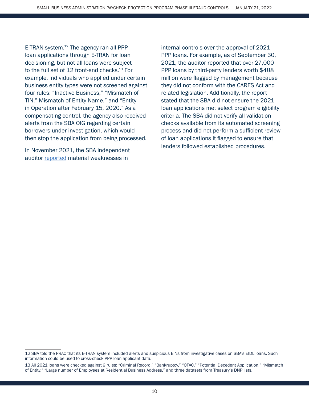E-TRAN system.<sup>12</sup> The agency ran all PPP loan applications through E-TRAN for loan decisioning, but not all loans were subject to the full set of 12 front-end checks.<sup>13</sup> For example, individuals who applied under certain business entity types were not screened against four rules: "Inactive Business," "Mismatch of TIN," Mismatch of Entity Name," and "Entity in Operation after February 15, 2020." As a compensating control, the agency also received alerts from the SBA OIG regarding certain borrowers under investigation, which would then stop the application from being processed.

In November 2021, the SBA independent auditor [reported](https://www.sba.gov/sites/default/files/2021-11/OIG%20Final%20Report%20-%20Independent%20Auditors%E2%80%99%20Report%20on%20SBA%E2%80%99s%20FY%202021%20Financial%20Statements%20%28Report%2022-05%29.pdf) material weaknesses in

internal controls over the approval of 2021 PPP loans. For example, as of September 30, 2021, the auditor reported that over 27,000 PPP loans by third-party lenders worth \$488 million were flagged by management because they did not conform with the CARES Act and related legislation. Additionally, the report stated that the SBA did not ensure the 2021 loan applications met select program eligibility criteria. The SBA did not verify all validation checks available from its automated screening process and did not perform a sufficient review of loan applications it flagged to ensure that lenders followed established procedures.

<sup>12</sup> SBA told the PRAC that its E-TRAN system included alerts and suspicious EINs from investigative cases on SBA's EIDL loans. Such information could be used to cross-check PPP loan applicant data.

<sup>13</sup> All 2021 loans were checked against 9 rules: "Criminal Record," "Bankruptcy," "OFAC," "Potential Decedent Application," "Mismatch of Entity," "Large number of Employees at Residential Business Address," and three datasets from Treasury's DNP lists.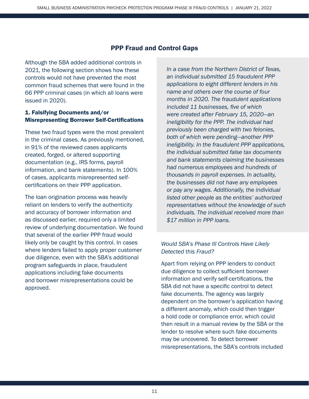## PPP Fraud and Control Gaps

Although the SBA added additional controls in 2021, the following section shows how these controls would not have prevented the most common fraud schemes that were found in the 66 PPP criminal cases (in which all loans were issued in 2020).

## 1. Falsifying Documents and/or Misrepresenting Borrower Self-Certifications

These two fraud types were the most prevalent in the criminal cases. As previously mentioned, in 91% of the reviewed cases applicants created, forged, or altered supporting documentation (e.g., IRS forms, payroll information, and bank statements). In 100% of cases, applicants misrepresented selfcertifications on their PPP application.

The loan origination process was heavily reliant on lenders to verify the authenticity and accuracy of borrower information and as discussed earlier, required only a limited review of underlying documentation. We found that several of the earlier PPP fraud would likely only be caught by this control. In cases where lenders failed to apply proper customer due diligence, even with the SBA's additional program safeguards in place, fraudulent applications including fake documents and borrower misrepresentations could be approved.

*In a case from the Northern District of Texas, an individual submitted 15 fraudulent PPP applications to eight different lenders in his name and others over the course of four months in 2020. The fraudulent applications included 11 businesses, five of which were created after February 15, 2020—an ineligibility for the PPP. The individual had previously been charged with two felonies, both of which were pending—another PPP ineligibility. In the fraudulent PPP applications, the individual submitted false tax documents and bank statements claiming the businesses had numerous employees and hundreds of thousands in payroll expenses. In actuality, the businesses did not have any employees or pay any wages. Additionally, the individual listed other people as the entities' authorized representatives without the knowledge of such individuals. The individual received more than \$17 million in PPP loans.*

## *Would SBA's Phase III Controls Have Likely Detected this Fraud?*

Apart from relying on PPP lenders to conduct due diligence to collect sufficient borrower information and verify self-certifications, the SBA did not have a specific control to detect fake documents. The agency was largely dependent on the borrower's application having a different anomaly, which could then trigger a hold code or compliance error, which could then result in a manual review by the SBA or the lender to resolve where such fake documents may be uncovered. To detect borrower misrepresentations, the SBA's controls included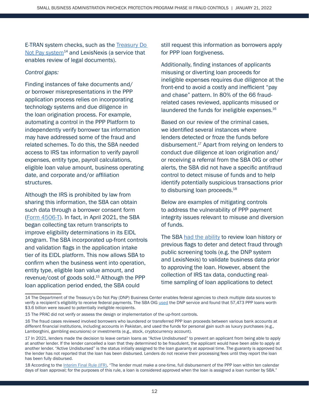E-TRAN system checks, such as the [Treasury Do](https://www.sba.gov/sites/default/files/2020-12/IG%20Memo%20to%20Administrator%20Regarding%20COVID-19%20Additional%20Funding.pdf)  [Not Pay system](https://www.sba.gov/sites/default/files/2020-12/IG%20Memo%20to%20Administrator%20Regarding%20COVID-19%20Additional%20Funding.pdf) $14$  and LexisNexis (a service that enables review of legal documents).

#### *Control gaps:*

Finding instances of fake documents and/ or borrower misrepresentations in the PPP application process relies on incorporating technology systems and due diligence in the loan origination process. For example, automating a control in the PPP Platform to independently verify borrower tax information may have addressed some of the fraud and related schemes. To do this, the SBA needed access to IRS tax information to verify payroll expenses, entity type, payroll calculations, eligible loan value amount, business operating date, and corporate and/or affiliation structures.

Although the IRS is prohibited by law from sharing this information, the SBA can obtain such data through a borrower consent form ([Form 4506-T](https://www.irs.gov/forms-pubs/about-form-4506-t)). In fact, in April 2021, the SBA began collecting tax return transcripts to improve eligibility determinations in its EIDL program. The SBA incorporated up-front controls and validation flags in the application intake tier of its EIDL platform. This now allows SBA to confirm when the business went into operation, entity type, eligible loan value amount, and revenue/cost of goods sold.<sup>15</sup> Although the PPP loan application period ended, the SBA could

still request this information as borrowers apply for PPP loan forgiveness.

Additionally, finding instances of applicants misusing or diverting loan proceeds for ineligible expenses requires due diligence at the front-end to avoid a costly and inefficient "pay and chase" pattern. In 80% of the 66 fraudrelated cases reviewed, applicants misused or laundered the funds for ineligible expenses.<sup>16</sup>

Based on our review of the criminal cases, we identified several instances where lenders detected or froze the funds before disbursement.17 Apart from relying on lenders to conduct due diligence at loan origination and/ or receiving a referral from the SBA OIG or other alerts, the SBA did not have a specific antifraud control to detect misuse of funds and to help identify potentially suspicious transactions prior to disbursing loan proceeds.<sup>18</sup>

Below are examples of mitigating controls to address the vulnerability of PPP payment integrity issues relevant to misuse and diversion of funds.

The SBA [had the ability](https://www.sba.gov/sites/default/files/2020-12/IG%20Memo%20to%20Administrator%20Regarding%20COVID-19%20Additional%20Funding.pdf) to review loan history or previous flags to deter and detect fraud through public screening tools (e.g. the DNP system and LexisNexis) to validate business data prior to approving the loan. However, absent the collection of IRS tax data, conducting realtime sampling of loan applications to detect

18 According to the [Interim Final Rule](https://www.sba.gov/sites/default/files/2021-01/PPP%20--%20IFR%20--%20Paycheck%20Protection%20Program%20as%20Amended%20by%20Economic%20Aid%20Act%20%281.6.2021%29.pdf) (IFR), "The lender must make a one-time, full disbursement of the PPP loan within ten calendar days of loan approval; for the purposes of this rule, a loan is considered approved when the loan is assigned a loan number by SBA."

<sup>14</sup> The Department of the Treasury's Do Not Pay (DNP) Business Center enables federal agencies to check multiple data sources to verify a recipient's eligibility to receive federal payments. The SBA OIG [used](https://www.sba.gov/sites/default/files/2021-03/SBA%20OIG%20%20Report%2021-09.pdf) the DNP service and found that 57,473 PPP loans worth \$3.6 billion were issued to potentially ineligible recipients.

<sup>15</sup> The PRAC did not verify or assess the design or implementation of the up-front controls.

<sup>16</sup> The fraud cases reviewed involved borrowers who laundered or transferred PPP loan proceeds between various bank accounts at different financial institutions, including accounts in Pakistan, and used the funds for personal gain such as luxury purchases (e.g., Lamborghini, gambling excursions) or investments (e.g., stock, cryptocurrency account).

<sup>17</sup> In 2021, lenders made the decision to leave certain loans as "Active Undisbursed" to prevent an applicant from being able to apply at another lender. If the lender cancelled a loan that they determined to be fraudulent, the applicant would have been able to apply at another lender. "Active Undisbursed" is the status initially assigned to the loan guaranty at approval time. The guaranty is approved but the lender has not reported that the loan has been disbursed. Lenders do not receive their processing fees until they report the loan has been fully disbursed.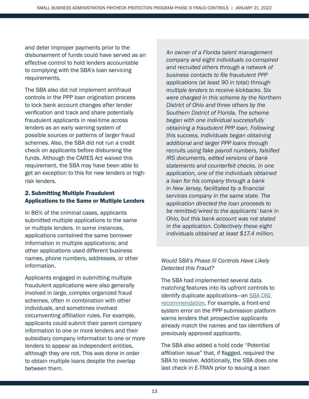and deter improper payments prior to the disbursement of funds could have served as an effective control to hold lenders accountable to complying with the SBA's loan servicing requirements.

The SBA also did not implement antifraud controls in the PPP loan origination process to lock bank account changes after lender verification and track and share potentially fraudulent applicants in real-time across lenders as an early warning system of possible sources or patterns of larger fraud schemes. Also, the SBA did not run a credit check on applicants before disbursing the funds. Although the CARES Act waived this requirement, the SBA may have been able to get an exception to this for new lenders or highrisk lenders.

## 2. Submitting Multiple Fraudulent Applications to the Same or Multiple Lenders

In 86% of the criminal cases, applicants submitted multiple applications to the same or multiple lenders. In some instances, applications contained the same borrower information in multiple applications; and other applications used different business names, phone numbers, addresses, or other information.

Applicants engaged in submitting multiple fraudulent applications were also generally involved in large, complex organized fraud schemes, often in combination with other individuals, and sometimes involved circumventing affiliation rules. For example, applicants could submit their parent company information to one or more lenders and their subsidiary company information to one or more lenders to appear as independent entities, although they are not. This was done in order to obtain multiple loans despite the overlap between them.

*An owner of a Florida talent management company and eight individuals co-conspired and recruited others through a network of business contacts to file fraudulent PPP applications (at least 90 in total) through multiple lenders to receive kickbacks. Six were charged in this scheme by the Northern District of Ohio and three others by the Southern District of Florida. The scheme began with one individual successfully obtaining a fraudulent PPP loan. Following this success, individuals began obtaining additional and larger PPP loans through recruits using fake payroll numbers, falsified IRS documents, edited versions of bank statements and counterfeit checks. In one application, one of the individuals obtained a loan for his company through a bank in New Jersey, facilitated by a financial services company in the same state. The application directed the loan proceeds to be remitted/wired to the applicants' bank in Ohio, but this bank account was not stated in the application. Collectively these eight individuals obtained at least \$17.4 million.*

# *Would SBA's Phase III Controls Have Likely Detected this Fraud?*

The SBA had implemented several data matching features into its upfront controls to identify duplicate applications—an [SBA OIG](https://www.sba.gov/sites/default/files/2021-03/SBA%20OIG%20%20Report%2021-09.pdf)  [recommendation](https://www.sba.gov/sites/default/files/2021-03/SBA%20OIG%20%20Report%2021-09.pdf). For example, a front-end system error on the PPP submission platform warns lenders that prospective applicants already match the names and tax identifiers of previously approved applicants.

The SBA also added a hold code "Potential affiliation issue" that, if flagged, required the SBA to resolve. Additionally, the SBA does one last check in E-TRAN prior to issuing a loan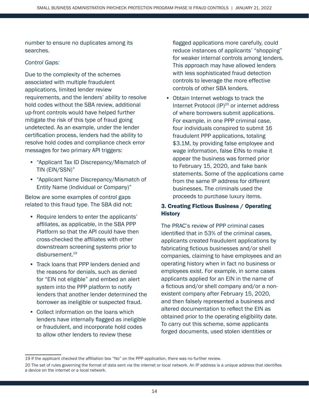number to ensure no duplicates among its searches.

#### *Control Gaps:*

Due to the complexity of the schemes associated with multiple fraudulent applications, limited lender review requirements, and the lenders' ability to resolve hold codes without the SBA review, additional up-front controls would have helped further mitigate the risk of this type of fraud going undetected. As an example, under the lender certification process, lenders had the ability to resolve hold codes and compliance check error messages for two primary API triggers:

- "Applicant Tax ID Discrepancy/Mismatch of TIN (EIN/SSN)"
- "Applicant Name Discrepancy/Mismatch of Entity Name (Individual or Company)"

Below are some examples of control gaps related to this fraud type. The SBA did not:

- Require lenders to enter the applicants' affiliates, as applicable, in the SBA PPP Platform so that the API could have then cross-checked the affiliates with other downstream screening systems prior to disbursement.19
- Track loans that PPP lenders denied and the reasons for denials, such as denied for "EIN not eligible" and embed an alert system into the PPP platform to notify lenders that another lender determined the borrower as ineligible or suspected fraud.
- Collect information on the loans which lenders have internally flagged as ineligible or fraudulent, and incorporate hold codes to allow other lenders to review these

flagged applications more carefully, could reduce instances of applicants' "shopping" for weaker internal controls among lenders. This approach may have allowed lenders with less sophisticated fraud detection controls to leverage the more effective controls of other SBA lenders.

• Obtain Internet weblogs to track the Internet Protocol (IP)<sup>20</sup> or internet address of where borrowers submit applications. For example, in one PPP criminal case, four individuals conspired to submit 16 fraudulent PPP applications, totaling \$3.1M, by providing false employee and wage information, false EINs to make it appear the business was formed prior to February 15, 2020, and fake bank statements. Some of the applications came from the same IP address for different businesses. The criminals used the proceeds to purchase luxury items.

# 3. Creating Fictious Business / Operating **History**

The PRAC's review of PPP criminal cases identified that in 53% of the criminal cases, applicants created fraudulent applications by fabricating fictious businesses and/or shell companies, claiming to have employees and an operating history when in fact no business or employees exist. For example, in some cases applicants applied for an EIN in the name of a fictious and/or shell company and/or a nonexistent company after February 15, 2020, and then falsely represented a business and altered documentation to reflect the EIN as obtained prior to the operating eligibility date. To carry out this scheme, some applicants forged documents, used stolen identities or

<sup>19</sup> If the applicant checked the affiliation box "No" on the PPP application, there was no further review.

<sup>20</sup> The set of rules governing the format of data sent via the internet or local network. An IP address is a unique address that identifies a device on the internet or a local network.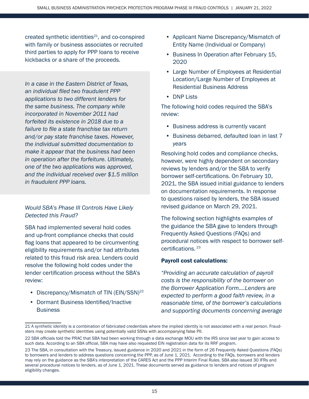created synthetic identities $21$ , and co-conspired with family or business associates or recruited third parties to apply for PPP loans to receive kickbacks or a share of the proceeds.

*In a case in the Eastern District of Texas, an individual filed two fraudulent PPP applications to two different lenders for the same business. The company while incorporated in November 2011 had forfeited its existence in 2018 due to a failure to file a state franchise tax return and/or pay state franchise taxes. However, the individual submitted documentation to make it appear that the business had been in operation after the forfeiture. Ultimately, one of the two applications was approved, and the individual received over \$1.5 million in fraudulent PPP loans.* 

*Would SBA's Phase III Controls Have Likely Detected this Fraud?*

SBA had implemented several hold codes and up-front compliance checks that could flag loans that appeared to be circumventing eligibility requirements and/or had attributes related to this fraud risk area. Lenders could resolve the following hold codes under the lender certification process without the SBA's review:

- Discrepancy/Mismatch of TIN (EIN/SSN)<sup>22</sup>
- Dormant Business Identified/Inactive **Business**
- Applicant Name Discrepancy/Mismatch of Entity Name (Individual or Company)
- Business In Operation after February 15, 2020
- Large Number of Employees at Residential Location/Large Number of Employees at Residential Business Address
- DNP Lists

The following hold codes required the SBA's review:

- Business address is currently vacant
- Business debarred, defaulted loan in last 7 years

Resolving hold codes and compliance checks, however, were highly dependent on secondary reviews by lenders and/or the SBA to verify borrower self-certifications. On February 10, 2021, the SBA issued initial guidance to lenders on documentation requirements. In response to questions raised by lenders, the SBA issued revised guidance on March 29, 2021.

The following section highlights examples of the guidance the SBA gave to lenders through Frequently Asked Questions (FAQs) and procedural notices with respect to borrower selfcertifications. <sup>23</sup>

#### Payroll cost calculations:

*"Providing an accurate calculation of payroll costs is the responsibility of the borrower on the Borrower Application Form.…Lenders are expected to perform a good faith review, in a reasonable time, of the borrower's calculations and supporting documents concerning average* 

<sup>21</sup> A *synthetic identity* is a combination of fabricated credentials where the implied identity is not associated with a real person. Fraudsters may create synthetic identities using potentially valid SSNs with accompanying false PII.

<sup>22</sup> SBA officials told the PRAC that SBA had been working through a data exchange MOU with the IRS since last year to gain access to such data. According to an SBA official, SBA may have also requested EIN registration data for its RRF program.

<sup>23</sup> The SBA, in consultation with the Treasury, issued guidance in 2020 and 2021 in the form of 26 Frequently Asked Questions (FAQs) to borrowers and lenders to address questions concerning the PPP, as of June 1, 2021. According to the FAQs, borrowers and lenders may rely on the guidance as the SBA's interpretation of the CARES Act and the PPP Interim Final Rules. SBA also issued 30 IFRs and several procedural notices to lenders, as of June 1, 2021. These documents served as guidance to lenders and notices of program eligibility changes.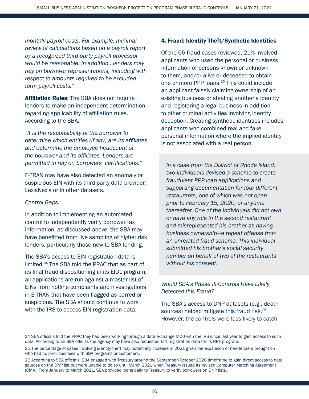*monthly payroll costs. For example, minimal review of calculations based on a payroll report by a recognized third-party payroll processor would be reasonable. In addition…lenders may rely on borrower representations, including with respect to amounts required to be excluded form payroll costs."* 

**Affiliation Rules:** The SBA does not require lenders to make an independent determination regarding applicability of affiliation rules. According to the SBA:

*"It is the responsibility of the borrower to determine which entities (if any) are its affiliates and determine the employee headcount of the borrower and its affiliates. Lenders are permitted to rely on borrowers' certifications."* 

E-TRAN may have also detected an anomaly or suspicious EIN with its third-party data provider, LexisNexis or in other datasets.

#### *Control Gaps:*

In addition to implementing an automated control to independently verify borrower tax information, as discussed above, the SBA may have benefitted from live sampling of higher risk lenders, particularly those new to SBA lending.

The SBA's access to EIN registration data is limited.24 The SBA told the PRAC that as part of its final fraud-dispositioning in its EIDL program, all applications are run against a master list of EINs from hotline complaints and investigations in E-TRAN that have been flagged as barred or suspicious. The SBA should continue to work with the IRS to access EIN registration data.

#### 4. Fraud: Identity Theft/Synthetic Identities

Of the 66 fraud cases reviewed, 21% involved applicants who used the personal or business information of persons known or unknown to them, and/or alive or deceased to obtain one or more PPP loans.<sup>25</sup> This could include an applicant falsely claiming ownership of an existing business or stealing another's identity and registering a legal business in addition to other criminal activities involving identity deception. Creating synthetic identities includes applicants who combined real and fake personal information where the implied identity is not associated with a real person.

*In a case from the District of Rhode Island, two individuals devised a scheme to create fraudulent PPP loan applications and supporting documentation for four different restaurants, one of which was not open prior to February 15, 2020, or anytime thereafter. One of the individuals did not own or have any role in the second restaurant and misrepresented his brother as having business ownership—a repeat offense from an unrelated fraud scheme. This individual submitted his brother's social security number on behalf of two of the restaurants without his consent.*

## *Would SBA's Phase III Controls Have Likely Detected this Fraud?*

The SBA's access to DNP datasets (e.g., death sources) helped mitigate this fraud risk.<sup>26</sup> However, the controls were less likely to catch

<sup>24</sup> SBA officials told the PRAC they had been working through a data exchange MOU with the IRS since last year to gain access to such data. According to an SBA official, the agency may have also requested EIN registration data for its RRF program.

<sup>25</sup> The percentage of cases involving identity theft may potentially increase in 2021 given the expansion of new lenders brought on who had no prior business with SBA programs or customers.

<sup>26</sup> According to SBA officials, SBA engaged with Treasury around the September/October 2020 timeframe to gain direct access to data sources on the DNP list but were unable to do so until March 2021 when Treasury issued its revised Computer Matching Agreement (CMA). From January to March 2021, SBA provided loans daily to Treasury to verify borrowers on DNP lists.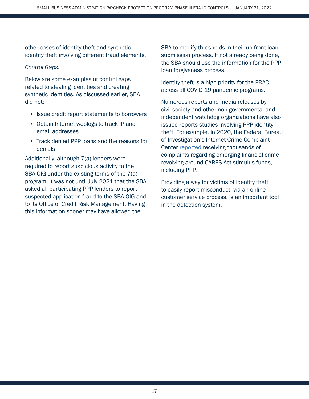other cases of identity theft and synthetic identity theft involving different fraud elements.

#### *Control Gaps:*

Below are some examples of control gaps related to stealing identities and creating synthetic identities. As discussed earlier, SBA did not:

- Issue credit report statements to borrowers
- Obtain Internet weblogs to track IP and email addresses
- Track denied PPP loans and the reasons for denials

Additionally, although 7(a) lenders were required to report suspicious activity to the SBA OIG under the existing terms of the 7(a) program, it was not until July 2021 that the SBA asked all participating PPP lenders to report suspected application fraud to the SBA OIG and to its Office of Credit Risk Management. Having this information sooner may have allowed the

SBA to modify thresholds in their up-front loan submission process. If not already being done, the SBA should use the information for the PPP loan forgiveness process.

Identity theft is a high priority for the PRAC across all COVID-19 pandemic programs.

Numerous reports and media releases by civil society and other non-governmental and independent watchdog organizations have also issued reports studies involving PPP identity theft. For example, in 2020, the Federal Bureau of Investigation's Internet Crime Complaint Center [reported](https://www.ic3.gov/Media/PDF/AnnualReport/2020_IC3Report.pdf) receiving thousands of complaints regarding emerging financial crime revolving around CARES Act stimulus funds, including PPP.

Providing a way for victims of identity theft to easily report misconduct, via an online customer service process, is an important tool in the detection system.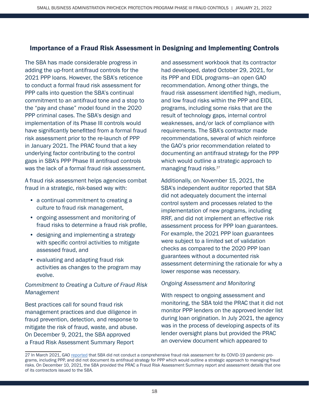# Importance of a Fraud Risk Assessment in Designing and Implementing Controls

The SBA has made considerable progress in adding the up-front antifraud controls for the 2021 PPP loans. However, the SBA's reticence to conduct a formal fraud risk assessment for PPP calls into question the SBA's continual commitment to an antifraud tone and a stop to the "pay and chase" model found in the 2020 PPP criminal cases. The SBA's design and implementation of its Phase III controls would have significantly benefitted from a formal fraud risk assessment prior to the re-launch of PPP in January 2021. The PRAC found that a key underlying factor contributing to the control gaps in SBA's PPP Phase III antifraud controls was the lack of a formal fraud risk assessment.

A fraud risk assessment helps agencies combat fraud in a strategic, risk-based way with:

- a continual commitment to creating a culture to fraud risk management,
- ongoing assessment and monitoring of fraud risks to determine a fraud risk profile,
- designing and implementing a strategy with specific control activities to mitigate assessed fraud, and
- evaluating and adapting fraud risk activities as changes to the program may evolve.

## *Commitment to Creating a Culture of Fraud Risk Management*

Best practices call for sound fraud risk management practices and due diligence in fraud prevention, detection, and response to mitigate the risk of fraud, waste, and abuse. On December 9, 2021, the SBA approved a Fraud Risk Assessment Summary Report

and assessment workbook that its contractor had developed, dated October 29, 2021, for its PPP and EIDL programs—an open GAO recommendation. Among other things, the fraud risk assessment identified high, medium, and low fraud risks within the PPP and EIDL programs, including some risks that are the result of technology gaps, internal control weaknesses, and/or lack of compliance with requirements. The SBA's contractor made recommendations, several of which reinforce the GAO's prior recommendation related to documenting an antifraud strategy for the PPP which would outline a strategic approach to managing fraud risks. 27

Additionally, on November 15, 2021, the SBA's independent auditor reported that SBA did not adequately document the internal control system and processes related to the implementation of new programs, including RRF, and did not implement an effective risk assessment process for PPP loan guarantees. For example, the 2021 PPP loan guarantees were subject to a limited set of validation checks as compared to the 2020 PPP loan guarantees without a documented risk assessment determining the rationale for why a lower response was necessary.

#### *Ongoing Assessment and Monitoring*

With respect to ongoing assessment and monitoring, the SBA told the PRAC that it did not monitor PPP lenders on the approved lender list during loan origination. In July 2021, the agency was in the process of developing aspects of its lender oversight plans but provided the PRAC an overview document which appeared to

<sup>27</sup> In March 2021, GAO [reported](https://www.gao.gov/assets/gao-21-577.pdf) that SBA did not conduct a comprehensive fraud risk assessment for its COVID-19 pandemic programs, including PPP, and did not document its antifraud strategy for PPP which would outline a strategic approach to managing fraud risks. On December 10, 2021, the SBA provided the PRAC a Fraud Risk Assessment Summary report and assessment details that one of its contractors issued to the SBA.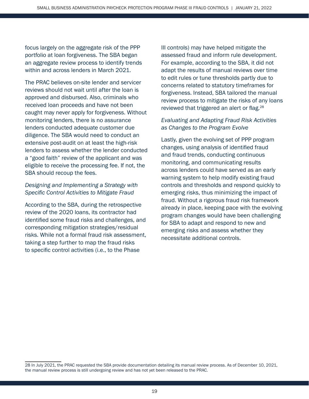focus largely on the aggregate risk of the PPP portfolio at loan forgiveness. The SBA began an aggregate review process to identify trends within and across lenders in March 2021.

The PRAC believes on-site lender and servicer reviews should not wait until after the loan is approved and disbursed. Also, criminals who received loan proceeds and have not been caught may never apply for forgiveness. Without monitoring lenders, there is no assurance lenders conducted adequate customer due diligence. The SBA would need to conduct an extensive post-audit on at least the high-risk lenders to assess whether the lender conducted a "good faith" review of the applicant and was eligible to receive the processing fee. If not, the SBA should recoup the fees.

## *Designing and Implementing a Strategy with Specific Control Activities to Mitigate Fraud*

According to the SBA, during the retrospective review of the 2020 loans, its contractor had identified some fraud risks and challenges, and corresponding mitigation strategies/residual risks. While not a formal fraud risk assessment, taking a step further to map the fraud risks to specific control activities (i.e., to the Phase

III controls) may have helped mitigate the assessed fraud and inform rule development. For example, according to the SBA, it did not adapt the results of manual reviews over time to edit rules or tune thresholds partly due to concerns related to statutory timeframes for forgiveness. Instead, SBA tailored the manual review process to mitigate the risks of any loans reviewed that triggered an alert or flag.<sup>28</sup>

## *Evaluating and Adapting Fraud Risk Activities as Changes to the Program Evolve*

Lastly, given the evolving set of PPP program changes, using analysis of identified fraud and fraud trends, conducting continuous monitoring, and communicating results across lenders could have served as an early warning system to help modify existing fraud controls and thresholds and respond quickly to emerging risks, thus minimizing the impact of fraud. Without a rigorous fraud risk framework already in place, keeping pace with the evolving program changes would have been challenging for SBA to adapt and respond to new and emerging risks and assess whether they necessitate additional controls.

<sup>28</sup> In July 2021, the PRAC requested the SBA provide documentation detailing its manual review process. As of December 10, 2021, the manual review process is still undergoing review and has not yet been released to the PRAC.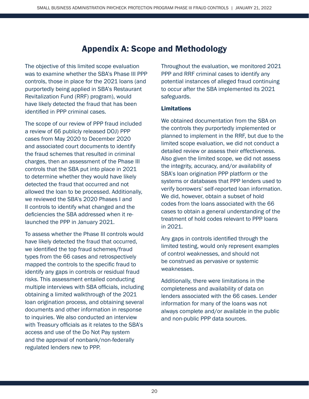# Appendix A: Scope and Methodology

The objective of this limited scope evaluation was to examine whether the SBA's Phase III PPP controls, those in place for the 2021 loans (and purportedly being applied in SBA's Restaurant Revitalization Fund (RRF) program), would have likely detected the fraud that has been identified in PPP criminal cases.

The scope of our review of PPP fraud included a review of 66 publicly released DOJ) PPP cases from May 2020 to December 2020 and associated court documents to identify the fraud schemes that resulted in criminal charges, then an assessment of the Phase III controls that the SBA put into place in 2021 to determine whether they would have likely detected the fraud that occurred and not allowed the loan to be processed. Additionally, we reviewed the SBA's 2020 Phases I and II controls to identify what changed and the deficiencies the SBA addressed when it relaunched the PPP in January 2021.

To assess whether the Phase III controls would have likely detected the fraud that occurred, we identified the top fraud schemes/fraud types from the 66 cases and retrospectively mapped the controls to the specific fraud to identify any gaps in controls or residual fraud risks. This assessment entailed conducting multiple interviews with SBA officials, including obtaining a limited walkthrough of the 2021 loan origination process, and obtaining several documents and other information in response to inquiries. We also conducted an interview with Treasury officials as it relates to the SBA's access and use of the Do Not Pay system and the approval of nonbank/non-federally regulated lenders new to PPP.

Throughout the evaluation, we monitored 2021 PPP and RRF criminal cases to identify any potential instances of alleged fraud continuing to occur after the SBA implemented its 2021 safeguards.

#### Limitations

We obtained documentation from the SBA on the controls they purportedly implemented or planned to implement in the RRF, but due to the limited scope evaluation, we did not conduct a detailed review or assess their effectiveness. Also given the limited scope, we did not assess the integrity, accuracy, and/or availability of SBA's loan origination PPP platform or the systems or databases that PPP lenders used to verify borrowers' self-reported loan information. We did, however, obtain a subset of hold codes from the loans associated with the 66 cases to obtain a general understanding of the treatment of hold codes relevant to PPP loans in 2021.

Any gaps in controls identified through the limited testing, would only represent examples of control weaknesses, and should not be construed as pervasive or systemic weaknesses.

Additionally, there were limitations in the completeness and availability of data on lenders associated with the 66 cases. Lender information for many of the loans was not always complete and/or available in the public and non-public PPP data sources.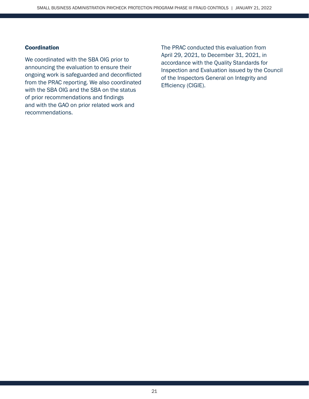#### **Coordination**

We coordinated with the SBA OIG prior to announcing the evaluation to ensure their ongoing work is safeguarded and deconflicted from the PRAC reporting. We also coordinated with the SBA OIG and the SBA on the status of prior recommendations and findings and with the GAO on prior related work and recommendations.

The PRAC conducted this evaluation from April 29, 2021, to December 31, 2021, in accordance with the Quality Standards for Inspection and Evaluation issued by the Council of the Inspectors General on Integrity and Efficiency (CIGIE).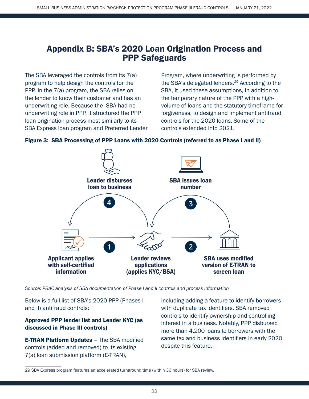# Appendix B: SBA's 2020 Loan Origination Process and PPP Safeguards

The SBA leveraged the controls from its 7(a) program to help design the controls for the PPP. In the 7(a) program, the SBA relies on the lender to know their customer and has an underwriting role. Because the SBA had no underwriting role in PPP, it structured the PPP loan origination process most similarly to its SBA Express loan program and Preferred Lender

Program, where underwriting is performed by the SBA's delegated lenders.<sup>29</sup> According to the SBA, it used these assumptions, in addition to the temporary nature of the PPP with a highvolume of loans and the statutory timeframe for forgiveness, to design and implement antifraud controls for the 2020 loans. Some of the controls extended into 2021.

#### Figure 3: SBA Processing of PPP Loans with 2020 Controls (referred to as Phase I and II)



*Source: PRAC analysis of SBA documentation of Phase I and II controls and process information*

Below is a full list of SBA's 2020 PPP (Phases I and II) antifraud controls:

## Approved PPP lender list and Lender KYC (as discussed in Phase III controls)

E-TRAN Platform Updates – The SBA modified controls (added and removed) to its existing 7(a) loan submission platform (E-TRAN),

including adding a feature to identify borrowers with duplicate tax identifiers. SBA removed controls to identify ownership and controlling interest in a business. Notably, PPP disbursed more than 4,200 loans to borrowers with the same tax and business identifiers in early 2020, despite this feature.

<sup>29</sup> SBA Express program features an accelerated turnaround time (within 36 hours) for SBA review.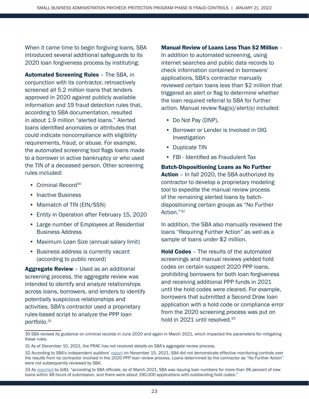When it came time to begin forgiving loans, SBA introduced several additional safeguards to its 2020 loan forgiveness process by instituting:

Automated Screening Rules – The SBA, in conjunction with its contractor, retroactively screened all 5.2 million loans that lenders approved in 2020 against publicly available information and 19 fraud detection rules that, according to SBA documentation, resulted in about 1.9 million "alerted loans." Alerted loans identified anomalies or attributes that could indicate noncompliance with eligibility requirements, fraud, or abuse. For example, the automated screening tool flags loans made to a borrower in active bankruptcy or who used the TIN of a deceased person. Other screening rules included:

- Criminal Record<sup>30</sup>
- Inactive Business
- Mismatch of TIN (EIN/SSN)
- Entity in Operation after February 15, 2020
- Large number of Employees at Residential Business Address
- Maximum Loan Size (annual salary limit)
- Business address is currently vacant (according to public record)

Aggregate Review - Used as an additional screening process, the aggregate review was intended to identify and analyze relationships across loans, borrowers, and lenders to identify potentially suspicious relationships and activities. SBA's contractor used a proprietary rules-based script to analyze the PPP loan portfolio.31

Manual Review of Loans Less Than \$2 Million – In addition to automated screening, using internet searches and public data records to check information contained in borrowers' applications, SBA's contractor manually reviewed certain loans less than \$2 million that triggered an alert or flag to determine whether the loan required referral to SBA for further action. Manual review flag(s)/alert(s) included:

- Do Not Pay (DNP),
- Borrower or Lender is Involved in OIG Investigation
- Duplicate TIN
- FBI Identified as Fraudulent Tax

Batch-Dispositioning Loans as No Further Action - In fall 2020, the SBA authorized its contractor to develop a proprietary modeling tool to expedite the manual review process of the remaining alerted loans by batchdispositioning certain groups as "No Further Action."<sup>32</sup>

In addition, the SBA also manually reviewed the loans "Requiring Further Action" as well as a sample of loans under \$2 million.

Hold Codes – The results of the automated screenings and manual reviews yielded hold codes on certain suspect 2020 PPP loans, prohibiting borrowers for both loan forgiveness and receiving additional PPP funds in 2021 until the hold codes were cleared. For example, borrowers that submitted a Second Draw loan application with a hold code or compliance error from the 2020 screening process was put on hold in 2021 until resolved.<sup>33</sup>

<sup>30</sup> SBA revised its guidance on criminal records in June 2020 and again in March 2021, which impacted the parameters for mitigating these rules.

<sup>31</sup> As of December 10, 2021, the PRAC has not received details on SBA's aggregate review process.

<sup>32</sup> According to SBA's independent auditors' [report](https://www.sba.gov/sites/default/files/2021-11/OIG%20Final%20Report%20-%20Independent%20Auditors%E2%80%99%20Report%20on%20SBA%E2%80%99s%20FY%202021%20Financial%20Statements%20%28Report%2022-05%29.pdf) on November 15, 2021, SBA did not demonstrate effective monitoring controls over the results from its contractor involved in the 2020 PPP loan review process. Loans determined by the contractor as "No Further Action" were not subsequently reviewed by SBA.

<sup>33</sup> As [reported](https://www.gao.gov/assets/gao-21-577.pdf) by GAO, "according to SBA officials, as of March 2021, SBA was issuing loan numbers for more than 96 percent of new loans within 48 hours of submission, and there were about 190,000 applications with outstanding hold codes."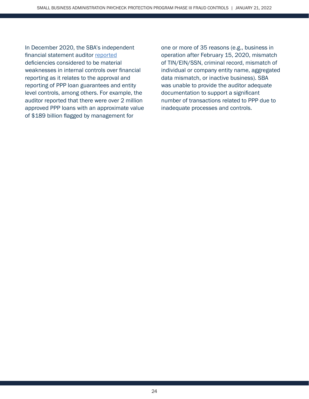In December 2020, the SBA's independent financial statement auditor [reported](https://www.sba.gov/sites/default/files/2020-12/OIG%20Final%20Report%2021-04%20Consolidated%20Financial%20Statement%20Audit.pdf) deficiencies considered to be material weaknesses in internal controls over financial reporting as it relates to the approval and reporting of PPP loan guarantees and entity level controls, among others. For example, the auditor reported that there were over 2 million approved PPP loans with an approximate value of \$189 billion flagged by management for

one or more of 35 reasons (e.g., business in operation after February 15, 2020, mismatch of TIN/EIN/SSN, criminal record, mismatch of individual or company entity name, aggregated data mismatch, or inactive business). SBA was unable to provide the auditor adequate documentation to support a significant number of transactions related to PPP due to inadequate processes and controls.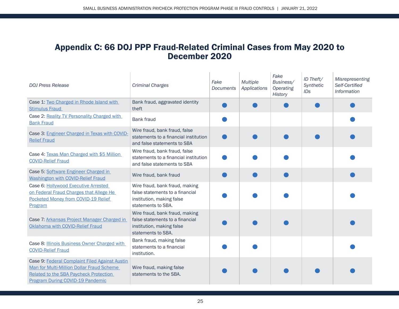# Appendix C: 66 DOJ PPP Fraud-Related Criminal Cases from May 2020 to December 2020

| <b>DOJ Press Release</b>                                                                                                                                                  | <b>Criminal Charges</b>                                                                                              | Fake<br><b>Documents</b> | <b>Multiple</b><br>Applications | Fake<br>Business/<br>Operating<br><b>History</b> | ID Theft/<br>Synthetic<br>ID <sub>S</sub> | <b>Misrepresenting</b><br>Self-Certified<br>Information |
|---------------------------------------------------------------------------------------------------------------------------------------------------------------------------|----------------------------------------------------------------------------------------------------------------------|--------------------------|---------------------------------|--------------------------------------------------|-------------------------------------------|---------------------------------------------------------|
| Case 1: Two Charged in Rhode Island with<br><b>Stimulus Fraud</b>                                                                                                         | Bank fraud, aggravated identity<br>theft                                                                             |                          |                                 |                                                  |                                           |                                                         |
| Case 2: Reality TV Personality Charged with<br><b>Bank Fraud</b>                                                                                                          | <b>Bank fraud</b>                                                                                                    |                          |                                 |                                                  |                                           |                                                         |
| Case 3: Engineer Charged in Texas with COVID-<br><b>Relief Fraud</b>                                                                                                      | Wire fraud, bank fraud, false<br>statements to a financial institution<br>and false statements to SBA                |                          |                                 |                                                  |                                           |                                                         |
| Case 4: Texas Man Charged with \$5 Million<br><b>COVID-Relief Fraud</b>                                                                                                   | Wire fraud, bank fraud, false<br>statements to a financial institution<br>and false statements to SBA                |                          |                                 |                                                  |                                           |                                                         |
| Case 5: Software Engineer Charged in<br><b>Washington with COVID-Relief Fraud</b>                                                                                         | Wire fraud, bank fraud                                                                                               |                          |                                 |                                                  |                                           |                                                         |
| Case 6: Hollywood Executive Arrested<br>on Federal Fraud Charges that Allege He<br>Pocketed Money from COVID-19 Relief<br>Program                                         | Wire fraud, bank fraud, making<br>false statements to a financial<br>institution, making false<br>statements to SBA. |                          |                                 |                                                  |                                           |                                                         |
| Case 7: Arkansas Project Manager Charged in<br>Oklahoma with COVID-Relief Fraud                                                                                           | Wire fraud, bank fraud, making<br>false statements to a financial<br>institution, making false<br>statements to SBA. |                          |                                 |                                                  |                                           |                                                         |
| Case 8: <b>Illinois Business Owner Charged with</b><br><b>COVID-Relief Fraud</b>                                                                                          | Bank fraud, making false<br>statements to a financial<br>institution.                                                |                          |                                 |                                                  |                                           |                                                         |
| Case 9: Federal Complaint Filed Against Austin<br>Man for Multi-Million Dollar Fraud Scheme<br>Related to the SBA Paycheck Protection<br>Program During COVID-19 Pandemic | Wire fraud, making false<br>statements to the SBA.                                                                   |                          |                                 |                                                  |                                           |                                                         |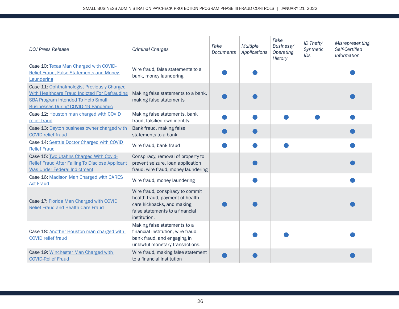| <b>DOJ Press Release</b>                                                                                                                                                                | <b>Criminal Charges</b>                                                                                                                              | Fake<br><b>Documents</b> | <b>Multiple</b><br>Applications | Fake<br>Business/<br>Operating<br><b>History</b> | ID Theft/<br>Synthetic<br>ID <sub>S</sub> | Misrepresenting<br>Self-Certified<br>Information |
|-----------------------------------------------------------------------------------------------------------------------------------------------------------------------------------------|------------------------------------------------------------------------------------------------------------------------------------------------------|--------------------------|---------------------------------|--------------------------------------------------|-------------------------------------------|--------------------------------------------------|
| Case 10: Texas Man Charged with COVID-<br><b>Relief Fraud, False Statements and Money</b><br>Laundering                                                                                 | Wire fraud, false statements to a<br>bank, money laundering                                                                                          |                          |                                 |                                                  |                                           |                                                  |
| Case 11: Ophthalmologist Previously Charged<br>With Healthcare Fraud Indicted For Defrauding<br><b>SBA Program Intended To Help Small</b><br><b>Businesses During COVID-19 Pandemic</b> | Making false statements to a bank,<br>making false statements                                                                                        |                          |                                 |                                                  |                                           |                                                  |
| Case 12: Houston man charged with COVID<br>relief fraud                                                                                                                                 | Making false statements, bank<br>fraud, falsified own identity.                                                                                      |                          |                                 |                                                  |                                           |                                                  |
| Case 13: Dayton business owner charged with<br><b>COVID-relief fraud</b>                                                                                                                | Bank fraud, making false<br>statements to a bank                                                                                                     |                          |                                 |                                                  |                                           |                                                  |
| Case 14: Seattle Doctor Charged with COVID<br><b>Relief Fraud</b>                                                                                                                       | Wire fraud, bank fraud                                                                                                                               |                          |                                 |                                                  |                                           |                                                  |
| Case 15: Two Utahns Charged With Covid-<br><b>Relief Fraud After Failing To Disclose Applicant</b><br><b>Was Under Federal Indictment</b>                                               | Conspiracy, removal of property to<br>prevent seizure, loan application<br>fraud, wire fraud, money laundering                                       |                          |                                 |                                                  |                                           |                                                  |
| Case 16: Madison Man Charged with CARES<br><b>Act Fraud</b>                                                                                                                             | Wire fraud, money laundering                                                                                                                         |                          |                                 |                                                  |                                           |                                                  |
| Case 17: Florida Man Charged with COVID<br><b>Relief Fraud and Health Care Fraud</b>                                                                                                    | Wire fraud, conspiracy to commit<br>health fraud, payment of health<br>care kickbacks, and making<br>false statements to a financial<br>institution. |                          |                                 |                                                  |                                           |                                                  |
| Case 18: Another Houston man charged with<br><b>COVID relief fraud</b>                                                                                                                  | Making false statements to a<br>financial institution, wire fraud,<br>bank fraud, and engaging in<br>unlawful monetary transactions.                 |                          |                                 |                                                  |                                           |                                                  |
| Case 19: Winchester Man Charged with<br><b>COVID-Relief Fraud</b>                                                                                                                       | Wire fraud, making false statement<br>to a financial institution                                                                                     |                          |                                 |                                                  |                                           |                                                  |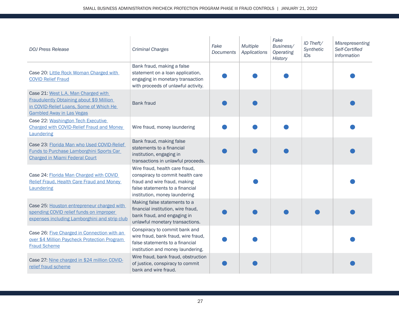| <b>DOJ Press Release</b>                                                                                                                                              | <b>Criminal Charges</b>                                                                                                                                                | Fake<br><b>Documents</b> | <b>Multiple</b><br>Applications | Fake<br>Business/<br>Operating<br><b>History</b> | ID Theft/<br>Synthetic<br><b>IDs</b> | Misrepresenting<br>Self-Certified<br>Information |
|-----------------------------------------------------------------------------------------------------------------------------------------------------------------------|------------------------------------------------------------------------------------------------------------------------------------------------------------------------|--------------------------|---------------------------------|--------------------------------------------------|--------------------------------------|--------------------------------------------------|
| Case 20: Little Rock Woman Charged with<br><b>COVID Relief Fraud</b>                                                                                                  | Bank fraud, making a false<br>statement on a loan application,<br>engaging in monetary transaction<br>with proceeds of unlawful activity.                              |                          |                                 |                                                  |                                      |                                                  |
| Case 21: West L.A. Man Charged with<br><b>Fraudulently Obtaining about \$9 Million</b><br>in COVID-Relief Loans, Some of Which He<br><b>Gambled Away in Las Vegas</b> | <b>Bank fraud</b>                                                                                                                                                      |                          |                                 |                                                  |                                      |                                                  |
| Case 22: Washington Tech Executive<br><b>Charged with COVID-Relief Fraud and Money</b><br>Laundering                                                                  | Wire fraud, money laundering                                                                                                                                           |                          |                                 |                                                  |                                      |                                                  |
| Case 23: Florida Man who Used COVID-Relief<br>Funds to Purchase Lamborghini Sports Car<br><b>Charged in Miami Federal Court</b>                                       | Bank fraud, making false<br>statements to a financial<br>institution, engaging in<br>transactions in unlawful proceeds.                                                |                          |                                 |                                                  |                                      |                                                  |
| Case 24: Florida Man Charged with COVID<br>Relief Fraud, Health Care Fraud and Money<br>Laundering                                                                    | Wire fraud, health care fraud,<br>conspiracy to commit health care<br>fraud and wire fraud, making<br>false statements to a financial<br>institution, money laundering |                          |                                 |                                                  |                                      |                                                  |
| Case 25: Houston entrepreneur charged with<br>spending COVID relief funds on improper<br>expenses including Lamborghini and strip club                                | Making false statements to a<br>financial institution, wire fraud,<br>bank fraud, and engaging in<br>unlawful monetary transactions.                                   |                          |                                 |                                                  |                                      |                                                  |
| Case 26: Five Charged in Connection with an<br>over \$4 Million Paycheck Protection Program<br><b>Fraud Scheme</b>                                                    | Conspiracy to commit bank and<br>wire fraud, bank fraud, wire fraud,<br>false statements to a financial<br>institution and money laundering.                           |                          |                                 |                                                  |                                      |                                                  |
| Case 27: Nine charged in \$24 million COVID-<br>relief fraud scheme                                                                                                   | Wire fraud, bank fraud, obstruction<br>of justice, conspiracy to commit<br>bank and wire fraud.                                                                        |                          |                                 |                                                  |                                      |                                                  |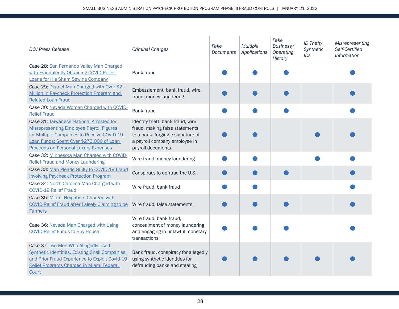| <b>DOJ Press Release</b>                                                                                                                                                                                                             | <b>Criminal Charges</b>                                                                                                                                       | Fake<br>Documents | <b>Multiple</b><br>Applications | Fake<br>Business/<br>Operating<br><b>History</b> | ID Theft/<br>Synthetic<br>IDs | Misrepresenting<br>Self-Certified<br>Information |
|--------------------------------------------------------------------------------------------------------------------------------------------------------------------------------------------------------------------------------------|---------------------------------------------------------------------------------------------------------------------------------------------------------------|-------------------|---------------------------------|--------------------------------------------------|-------------------------------|--------------------------------------------------|
| Case 28: San Fernando Valley Man Charged<br>with Fraudulently Obtaining COVID-Relief<br><b>Loans for His Sham Sewing Company</b>                                                                                                     | <b>Bank fraud</b>                                                                                                                                             |                   |                                 |                                                  |                               |                                                  |
| Case 29: District Man Charged with Over \$2<br>Million in Paycheck Protection Program and<br><b>Related Loan Fraud</b>                                                                                                               | Embezzlement, bank fraud, wire<br>fraud, money laundering                                                                                                     |                   |                                 |                                                  |                               |                                                  |
| Case 30: Nevada Woman Charged with COVID-<br><b>Relief Fraud</b>                                                                                                                                                                     | <b>Bank fraud</b>                                                                                                                                             |                   |                                 |                                                  |                               |                                                  |
| Case 31: Taiwanese National Arrested for<br><b>Misrepresenting Employee Payroll Figures</b><br>for Multiple Companies to Receive COVID-19<br>Loan Funds; Spent Over \$275,000 of Loan<br><b>Proceeds on Personal Luxury Expenses</b> | Identity theft, bank fraud, wire<br>fraud, making false statements<br>to a bank, forging e-signature of<br>a payroll company employee in<br>payroll documents |                   |                                 |                                                  |                               |                                                  |
| Case 32: Minnesota Man Charged with COVID-<br><b>Relief Fraud and Money Laundering</b>                                                                                                                                               | Wire fraud, money laundering                                                                                                                                  |                   |                                 |                                                  |                               |                                                  |
| Case 33: Man Pleads Guilty to COVID-19 Fraud<br><b>Involving Paycheck Protection Program</b>                                                                                                                                         | Conspiracy to defraud the U.S.                                                                                                                                |                   |                                 |                                                  |                               |                                                  |
| Case 34: North Carolina Man Charged with<br><b>COVID-19 Relief Fraud</b>                                                                                                                                                             | Wire fraud, bank fraud                                                                                                                                        |                   |                                 |                                                  |                               |                                                  |
| Case 35: Miami Neighbors Charged with<br><b>COVID-Relief Fraud after Falsely Claiming to be</b><br><b>Farmers</b>                                                                                                                    | Wire fraud, false statements                                                                                                                                  |                   |                                 |                                                  |                               |                                                  |
| Case 36: Nevada Man Charged with Using<br><b>COVID-Relief Funds to Buy House</b>                                                                                                                                                     | Wire fraud, bank fraud,<br>concealment of money laundering<br>and engaging in unlawful monetary<br>transactions                                               |                   |                                 |                                                  |                               |                                                  |
| Case 37: Two Men Who Allegedly Used<br><b>Synthetic Identities, Existing Shell Companies,</b><br>and Prior Fraud Experience to Exploit Covid-19<br>Relief Programs Charged in Miami Federal<br>Court                                 | Bank fraud, conspiracy for allegedly<br>using synthetic identities for<br>defrauding banks and stealing                                                       |                   |                                 |                                                  |                               |                                                  |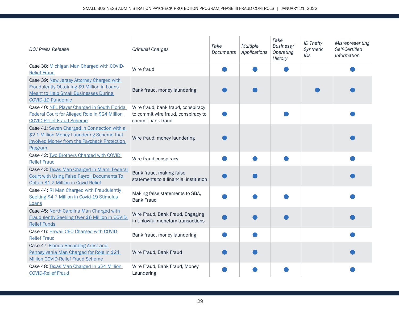| <b>DOJ Press Release</b>                                                                                                                                                    | <b>Criminal Charges</b>                                                                        | Fake<br>Documents | <b>Multiple</b><br>Applications | Fake<br>Business/<br>Operating<br><b>History</b> | ID Theft/<br>Synthetic<br>IDs | Misrepresenting<br>Self-Certified<br>Information |
|-----------------------------------------------------------------------------------------------------------------------------------------------------------------------------|------------------------------------------------------------------------------------------------|-------------------|---------------------------------|--------------------------------------------------|-------------------------------|--------------------------------------------------|
| Case 38: Michigan Man Charged with COVID-<br><b>Relief Fraud</b>                                                                                                            | Wire fraud                                                                                     |                   |                                 |                                                  |                               |                                                  |
| Case 39: New Jersey Attorney Charged with<br><b>Fraudulently Obtaining \$9 Million in Loans</b><br><b>Meant to Help Small Businesses During</b><br><b>COVID-19 Pandemic</b> | Bank fraud, money laundering                                                                   |                   |                                 |                                                  |                               |                                                  |
| Case 40: NFL Player Charged in South Florida<br>Federal Court for Alleged Role in \$24 Million<br><b>COVID-Relief Fraud Scheme</b>                                          | Wire fraud, bank fraud, conspiracy<br>to commit wire fraud, conspiracy to<br>commit bank fraud |                   |                                 |                                                  |                               |                                                  |
| Case 41: Seven Charged in Connection with a<br>\$2.1 Million Money Laundering Scheme that<br><b>Involved Money from the Paycheck Protection</b><br>Program                  | Wire fraud, money laundering                                                                   |                   |                                 |                                                  |                               |                                                  |
| Case 42: Two Brothers Charged with COVID<br><b>Relief Fraud</b>                                                                                                             | Wire fraud conspiracy                                                                          |                   |                                 |                                                  |                               |                                                  |
| Case 43: Texas Man Charged in Miami Federal<br><b>Court with Using False Payroll Documents To</b><br>Obtain \$1.2 Million in Covid Relief                                   | Bank fraud, making false<br>statements to a financial institution                              |                   |                                 |                                                  |                               |                                                  |
| Case 44: RI Man Charged with Fraudulently<br>Seeking \$4.7 Million in Covid-19 Stimulus<br>Loans                                                                            | Making false statements to SBA,<br><b>Bank Fraud</b>                                           |                   |                                 |                                                  |                               |                                                  |
| Case 45: North Carolina Man Charged with<br>Fraudulently Seeking Over \$6 Million in COVID<br><b>Relief Funds</b>                                                           | Wire Fraud, Bank Fraud, Engaging<br>in Unlawful monetary transactions                          |                   |                                 |                                                  |                               |                                                  |
| Case 46: Hawaii CEO Charged with COVID-<br><b>Relief Fraud</b>                                                                                                              | Bank fraud, money laundering                                                                   |                   |                                 |                                                  |                               |                                                  |
| Case 47: Florida Recording Artist and<br>Pennsylvania Man Charged for Role in \$24<br><b>Million COVID-Relief Fraud Scheme</b>                                              | Wire Fraud, Bank Fraud                                                                         |                   |                                 |                                                  |                               |                                                  |
| Case 48: Texas Man Charged In \$24 Million<br><b>COVID-Relief Fraud</b>                                                                                                     | Wire Fraud, Bank Fraud, Money<br>Laundering                                                    |                   |                                 |                                                  |                               |                                                  |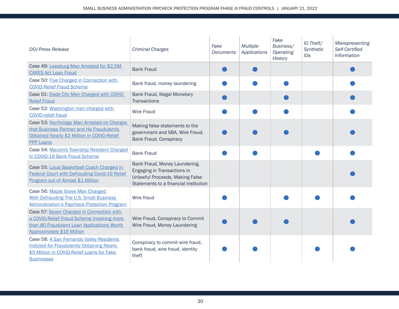| <b>DOJ Press Release</b>                                                                                                                                                   | <b>Criminal Charges</b>                                                                                                                  | Fake<br><b>Documents</b> | <b>Multiple</b><br>Applications | Fake<br>Business/<br>Operating<br><b>History</b> | ID Theft/<br>Synthetic<br>IDs | Misrepresenting<br>Self-Certified<br>Information |
|----------------------------------------------------------------------------------------------------------------------------------------------------------------------------|------------------------------------------------------------------------------------------------------------------------------------------|--------------------------|---------------------------------|--------------------------------------------------|-------------------------------|--------------------------------------------------|
| Case 49: Leesburg Man Arrested for \$2.5M<br><b>CARES Act Loan Fraud</b>                                                                                                   | <b>Bank Fraud</b>                                                                                                                        |                          |                                 |                                                  |                               |                                                  |
| Case 50: Five Charged in Connection with<br><b>COVID-Relief Fraud Scheme</b>                                                                                               | Bank fraud, money laundering                                                                                                             |                          |                                 |                                                  |                               |                                                  |
| Case 51: Dade City Man Charged with COVID<br><b>Relief Fraud</b>                                                                                                           | Bank Fraud, Illegal Monetary<br><b>Transactions</b>                                                                                      |                          |                                 |                                                  |                               |                                                  |
| Case 52: Washington man charged with<br><b>COVID-relief fraud</b>                                                                                                          | <b>Wire Fraud</b>                                                                                                                        |                          |                                 |                                                  |                               |                                                  |
| Case 53: Northridge Man Arrested on Charges<br>that Business Partner and He Fraudulently<br>Obtained Nearly \$2 Million in COVID-Relief<br><b>PPP Loans</b>                | Making false statements to the<br>government and SBA, Wire Fraud,<br>Bank Fraud, Conspiracy                                              |                          |                                 |                                                  |                               |                                                  |
| Case 54: Macomb Township Resident Charged<br>In COVID-19 Bank Fraud Scheme                                                                                                 | <b>Bank Fraud</b>                                                                                                                        |                          |                                 |                                                  |                               |                                                  |
| Case 55: Local Basketball Coach Charged in<br><b>Federal Court with Defrauding Covid-19 Relief</b><br>Program out of Almost \$1 Million                                    | Bank Fraud, Money Laundering,<br>Engaging in Transactions in<br>Unlawful Proceeds, Making False<br>Statements to a financial institution |                          |                                 |                                                  |                               |                                                  |
| Case 56: Maple Grove Man Charged<br><b>With Defrauding The U.S. Small Business</b><br><b>Administration's Paycheck Protection Program</b>                                  | Wire fraud                                                                                                                               |                          |                                 |                                                  |                               |                                                  |
| Case 57: Seven Charged in Connection with<br>a COVID-Relief Fraud Scheme Involving more<br>than 80 Fraudulent Loan Applications Worth<br><b>Approximately \$16 Million</b> | Wire Fraud, Conspiracy to Commit<br>Wire Fraud, Money Laundering                                                                         |                          |                                 |                                                  |                               |                                                  |
| Case 58: 4 San Fernando Valley Residents<br><b>Indicted for Fraudulently Obtaining Nearly</b><br>\$5 Million in COVID-Relief Loans for Fake<br><b>Businesses</b>           | Conspiracy to commit wire fraud,<br>bank fraud, wire fraud, identity<br>theft                                                            |                          |                                 |                                                  |                               |                                                  |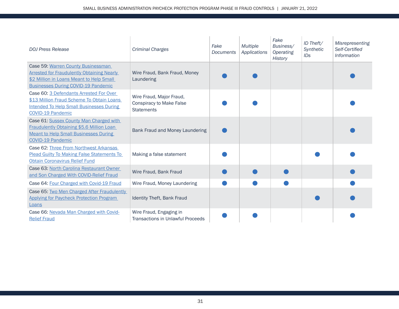| <b>DOJ Press Release</b>                                                                                                                                                          | <b>Criminal Charges</b>                                                          | Fake<br>Documents | <b>Multiple</b><br>Applications | Fake<br>Business/<br>Operating<br><b>History</b> | ID Theft/<br>Synthetic<br>ID <sub>S</sub> | <b>Misrepresenting</b><br>Self-Certified<br>Information |
|-----------------------------------------------------------------------------------------------------------------------------------------------------------------------------------|----------------------------------------------------------------------------------|-------------------|---------------------------------|--------------------------------------------------|-------------------------------------------|---------------------------------------------------------|
| Case 59: Warren County Businessman<br><b>Arrested for Fraudulently Obtaining Nearly</b><br>\$2 Million in Loans Meant to Help Small<br><b>Businesses During COVID-19 Pandemic</b> | Wire Fraud, Bank Fraud, Money<br>Laundering                                      |                   |                                 |                                                  |                                           |                                                         |
| Case 60: 3 Defendants Arrested For Over<br>\$13 Million Fraud Scheme To Obtain Loans<br><b>Intended To Help Small Businesses During</b><br><b>COVID-19 Pandemic</b>               | Wire Fraud, Major Fraud,<br><b>Conspiracy to Make False</b><br><b>Statements</b> |                   |                                 |                                                  |                                           |                                                         |
| Case 61: Sussex County Man Charged with<br>Fraudulently Obtaining \$5.6 Million Loan<br><b>Meant to Help Small Businesses During</b><br><b>COVID-19 Pandemic</b>                  | Bank Fraud and Money Laundering                                                  |                   |                                 |                                                  |                                           |                                                         |
| Case 62: Three From Northwest Arkansas<br><b>Plead Guilty To Making False Statements To</b><br><b>Obtain Coronavirus Relief Fund</b>                                              | Making a false statement                                                         |                   |                                 |                                                  |                                           |                                                         |
| Case 63: North Carolina Restaurant Owner<br>and Son Charged With COVID-Relief Fraud                                                                                               | Wire Fraud, Bank Fraud                                                           |                   |                                 |                                                  |                                           |                                                         |
| Case 64: Four Charged with Covid-19 Fraud                                                                                                                                         | Wire Fraud, Money Laundering                                                     |                   |                                 |                                                  |                                           |                                                         |
| Case 65: Two Men Charged After Fraudulently<br><b>Applying for Paycheck Protection Program</b><br>Loans                                                                           | Identity Theft, Bank Fraud                                                       |                   |                                 |                                                  |                                           |                                                         |
| Case 66: Nevada Man Charged with Covid-<br><b>Relief Fraud</b>                                                                                                                    | Wire Fraud, Engaging in<br>Transactions in Unlawful Proceeds                     |                   |                                 |                                                  |                                           |                                                         |